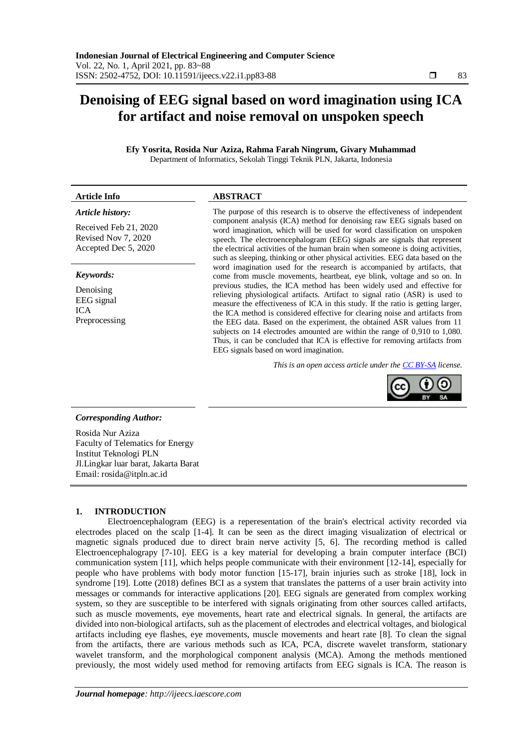# **Denoising of EEG signal based on word imagination using ICA for artifact and noise removal on unspoken speech**

**Efy Yosrita, Rosida Nur Aziza, Rahma Farah Ningrum, Givary Muhammad** Department of Informatics, Sekolah Tinggi Teknik PLN, Jakarta, Indonesia

## **Article Info ABSTRACT**

# *Article history:*

Received Feb 21, 2020 Revised Nov 7, 2020 Accepted Dec 5, 2020

#### *Keywords:*

Denoising EEG signal ICA Preprocessing

The purpose of this research is to observe the effectiveness of independent component analysis (ICA) method for denoising raw EEG signals based on word imagination, which will be used for word classification on unspoken speech. The electroencephalogram (EEG) signals are signals that represent the electrical activities of the human brain when someone is doing activities, such as sleeping, thinking or other physical activities. EEG data based on the word imagination used for the research is accompanied by artifacts, that come from muscle movements, heartbeat, eye blink, voltage and so on. In previous studies, the ICA method has been widely used and effective for relieving physiological artifacts. Artifact to signal ratio (ASR) is used to measure the effectiveness of ICA in this study. If the ratio is getting larger, the ICA method is considered effective for clearing noise and artifacts from the EEG data. Based on the experiment, the obtained ASR values from 11 subjects on 14 electrodes amounted are within the range of 0,910 to 1,080. Thus, it can be concluded that ICA is effective for removing artifacts from EEG signals based on word imagination.

*This is an open access article under the [CC BY-SA](https://creativecommons.org/licenses/by-sa/4.0/) license.*



#### *Corresponding Author:*

Rosida Nur Aziza Faculty of Telematics for Energy Institut Teknologi PLN Jl.Lingkar luar barat, Jakarta Barat Email: [rosida@itpln.ac.id](mailto:rosida@itpln.ac.id)

#### **1. INTRODUCTION**

Electroencephalogram (EEG) is a reperesentation of the brain's electrical activity recorded via electrodes placed on the scalp [1-4]. It can be seen as the direct imaging visualization of electrical or magnetic signals produced due to direct brain nerve activity [5, 6]. The recording method is called Electroencephalograpy [7-10]. EEG is a key material for developing a brain computer interface (BCI) communication system [11], which helps people communicate with their environment [12-14], especially for people who have problems with body motor function [15-17], brain injuries such as stroke [18], lock in syndrome [19]. Lotte (2018) defines BCI as a system that translates the patterns of a user brain activity into messages or commands for interactive applications [20]. EEG signals are generated from complex working system, so they are susceptible to be interfered with signals originating from other sources called artifacts, such as muscle movements, eye movements, heart rate and electrical signals. In general, the artifacts are divided into non-biological artifacts, suh as the placement of electrodes and electrical voltages, and biological artifacts including eye flashes, eye movements, muscle movements and heart rate [8]. To clean the signal from the artifacts, there are various methods such as ICA, PCA, discrete wavelet transform, stationary wavelet transform, and the morphological component analysis (MCA). Among the methods mentioned previously, the most widely used method for removing artifacts from EEG signals is ICA. The reason is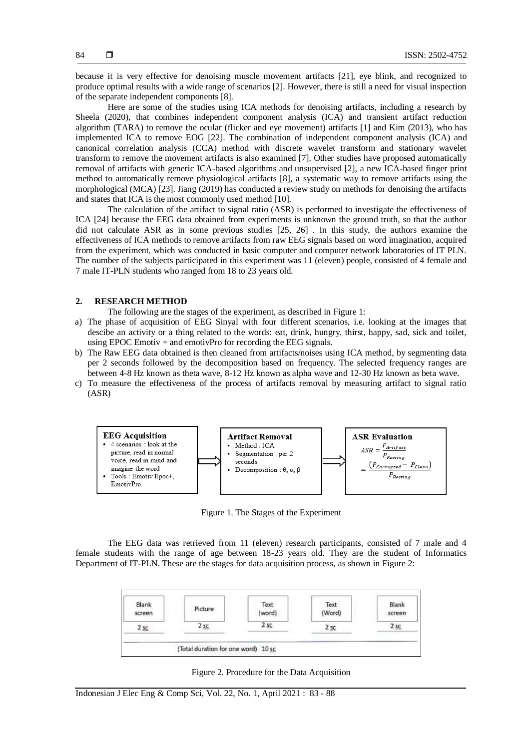because it is very effective for denoising muscle movement artifacts [21], eye blink, and recognized to produce optimal results with a wide range of scenarios [2]. However, there is still a need for visual inspection of the separate independent components [8].

Here are some of the studies using ICA methods for denoising artifacts, including a research by Sheela (2020), that combines independent component analysis (ICA) and transient artifact reduction algorithm (TARA) to remove the ocular (flicker and eye movement) artifacts [1] and Kim (2013), who has implemented ICA to remove EOG [22]. The combination of independent component analysis (ICA) and canonical correlation analysis (CCA) method with discrete wavelet transform and stationary wavelet transform to remove the movement artifacts is also examined [7]. Other studies have proposed automatically removal of artifacts with generic ICA-based algorithms and unsupervised [2], a new ICA-based finger print method to automatically remove physiological artifacts [8], a systematic way to remove artifacts using the morphological (MCA) [23]. Jiang (2019) has conducted a review study on methods for denoising the artifacts and states that ICA is the most commonly used method [10].

The calculation of the artifact to signal ratio (ASR) is performed to investigate the effectiveness of ICA [24] because the EEG data obtained from experiments is unknown the ground truth, so that the author did not calculate ASR as in some previous studies [25, 26] . In this study, the authors examine the effectiveness of ICA methods to remove artifacts from raw EEG signals based on word imagination, acquired from the experiment, which was conducted in basic computer and computer network laboratories of IT PLN. The number of the subjects participated in this experiment was 11 (eleven) people, consisted of 4 female and 7 male IT-PLN students who ranged from 18 to 23 years old.

#### **2. RESEARCH METHOD**

The following are the stages of the experiment, as described in Figure 1:

- a) The phase of acquisition of EEG Sinyal with four different scenarios, i.e. looking at the images that descibe an activity or a thing related to the words: eat, drink, hungry, thirst, happy, sad, sick and toilet, using EPOC Emotiv  $+$  and emotivPro for recording the EEG signals.
- b) The Raw EEG data obtained is then cleaned from artifacts/noises using ICA method, by segmenting data per 2 seconds followed by the decomposition based on frequency. The selected frequency ranges are between 4-8 Hz known as theta wave, 8-12 Hz known as alpha wave and 12-30 Hz known as beta wave.
- c) To measure the effectiveness of the process of artifacts removal by measuring artifact to signal ratio (ASR)



Figure 1. The Stages of the Experiment

The EEG data was retrieved from 11 (eleven) research participants, consisted of 7 male and 4 female students with the range of age between 18-23 years old. They are the student of Informatics Department of IT-PLN. These are the stages for data acquisition process, as shown in Figure 2:



Figure 2. Procedure for the Data Acquisition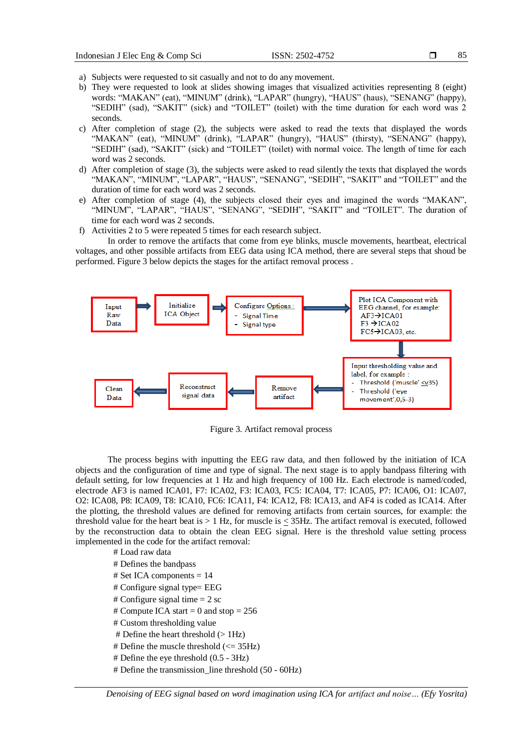- 
- a) Subjects were requested to sit casually and not to do any movement.
- b) They were requested to look at slides showing images that visualized activities representing 8 (eight) words: "MAKAN" (eat), "MINUM" (drink), "LAPAR" (hungry), "HAUS" (haus), "SENANG" (happy), "SEDIH" (sad), "SAKIT" (sick) and "TOILET" (toilet) with the time duration for each word was 2 seconds.
- c) After completion of stage (2), the subjects were asked to read the texts that displayed the words "MAKAN" (eat), "MINUM" (drink), "LAPAR" (hungry), "HAUS" (thirsty), "SENANG" (happy), "SEDIH" (sad), "SAKIT" (sick) and "TOILET" (toilet) with normal voice. The length of time for each word was 2 seconds.
- d) After completion of stage (3), the subjects were asked to read silently the texts that displayed the words "MAKAN", "MINUM", "LAPAR", "HAUS", "SENANG", "SEDIH", "SAKIT" and "TOILET" and the duration of time for each word was 2 seconds.
- e) After completion of stage (4), the subjects closed their eyes and imagined the words "MAKAN", "MINUM", "LAPAR", "HAUS", "SENANG", "SEDIH", "SAKIT" and "TOILET". The duration of time for each word was 2 seconds.
- f) Activities 2 to 5 were repeated 5 times for each research subject.

In order to remove the artifacts that come from eye blinks, muscle movements, heartbeat, electrical voltages, and other possible artifacts from EEG data using ICA method, there are several steps that shoud be performed. Figure 3 below depicts the stages for the artifact removal process .



Figure 3. Artifact removal process

The process begins with inputting the EEG raw data, and then followed by the initiation of ICA objects and the configuration of time and type of signal. The next stage is to apply bandpass filtering with default setting, for low frequencies at 1 Hz and high frequency of 100 Hz. Each electrode is named/coded, electrode AF3 is named ICA01, F7: ICA02, F3: ICA03, FC5: ICA04, T7: ICA05, P7: ICA06, O1: ICA07, O2: ICA08, P8: ICA09, T8: ICA10, FC6: ICA11, F4: ICA12, F8: ICA13, and AF4 is coded as ICA14. After the plotting, the threshold values are defined for removing artifacts from certain sources, for example: the threshold value for the heart beat is > 1 Hz, for muscle is < 35Hz. The artifact removal is executed, followed by the reconstruction data to obtain the clean EEG signal. Here is the threshold value setting process implemented in the code for the artifact removal:

# Load raw data

- # Defines the bandpass  $#$  Set ICA components  $= 14$ # Configure signal type= EEG # Configure signal time  $= 2$  sc # Compute ICA start = 0 and stop =  $256$ # Custom thresholding value # Define the heart threshold  $(>1Hz)$ # Define the muscle threshold  $\ll$  = 35Hz) # Define the eye threshold (0.5 - 3Hz)
- # Define the transmission\_line threshold (50 60Hz)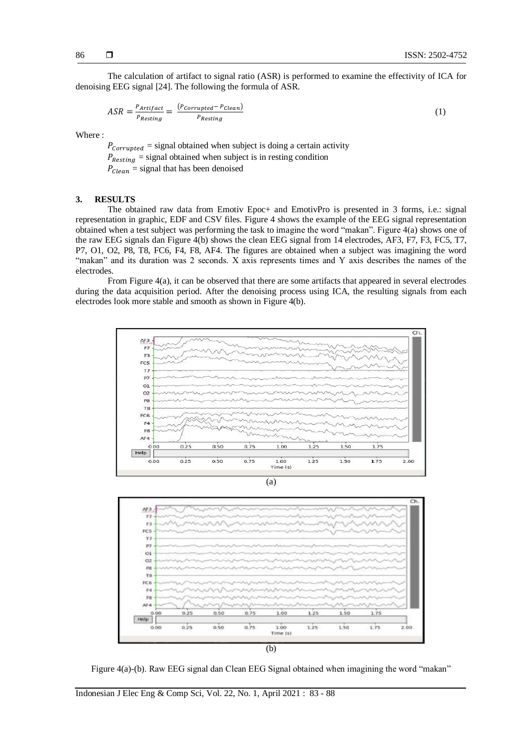The calculation of artifact to signal ratio (ASR) is performed to examine the effectivity of ICA for denoising EEG signal [24]. The following the formula of ASR.

$$
ASR = \frac{P_{Artifact}}{P_{Resting}} = \frac{(P_{Corrupted} - P_{clean})}{P_{Resting}}
$$
(1)

Where :

 $P_{\text{Corruoted}} = \text{signal obtained when subject is doing a certain activity}$  $P_{\text{Resting}} =$  signal obtained when subject is in resting condition  $P_{clean}$  = signal that has been denoised

### **3. RESULTS**

The obtained raw data from Emotiv Epoc+ and EmotivPro is presented in 3 forms, i.e.: signal representation in graphic, EDF and CSV files. Figure 4 shows the example of the EEG signal representation obtained when a test subject was performing the task to imagine the word "makan". Figure 4(a) shows one of the raw EEG signals dan Figure 4(b) shows the clean EEG signal from 14 electrodes, AF3, F7, F3, FC5, T7, P7, O1, O2, P8, T8, FC6, F4, F8, AF4. The figures are obtained when a subject was imagining the word "makan" and its duration was 2 seconds. X axis represents times and Y axis describes the names of the electrodes.

From Figure 4(a), it can be observed that there are some artifacts that appeared in several electrodes during the data acquisition period. After the denoising process using ICA, the resulting signals from each electrodes look more stable and smooth as shown in Figure 4(b).



Figure 4(a)-(b). Raw EEG signal dan Clean EEG Signal obtained when imagining the word "makan"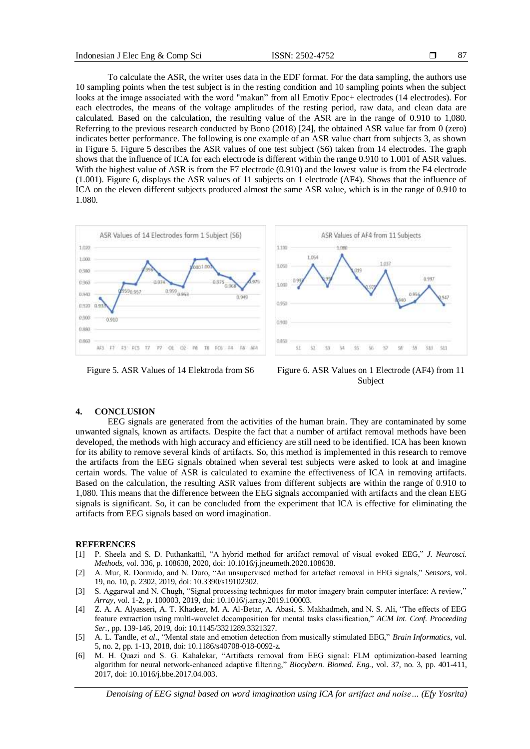87

To calculate the ASR, the writer uses data in the EDF format. For the data sampling, the authors use 10 sampling points when the test subject is in the resting condition and 10 sampling points when the subject looks at the image associated with the word "makan" from all Emotiv Epoc+ electrodes (14 electrodes). For each electrodes, the means of the voltage amplitudes of the resting period, raw data, and clean data are calculated. Based on the calculation, the resulting value of the ASR are in the range of 0.910 to 1,080. Referring to the previous research conducted by Bono (2018) [24], the obtained ASR value far from 0 (zero) indicates better performance. The following is one example of an ASR value chart from subjects 3, as shown in Figure 5. Figure 5 describes the ASR values of one test subject (S6) taken from 14 electrodes. The graph shows that the influence of ICA for each electrode is different within the range 0.910 to 1.001 of ASR values. With the highest value of ASR is from the F7 electrode (0.910) and the lowest value is from the F4 electrode (1.001). Figure 6, displays the ASR values of 11 subjects on 1 electrode (AF4). Shows that the influence of ICA on the eleven different subjects produced almost the same ASR value, which is in the range of 0.910 to 1.080.



Figure 5. ASR Values of 14 Elektroda from S6 Figure 6. ASR Values on 1 Electrode (AF4) from 11 Subject

#### **4. CONCLUSION**

EEG signals are generated from the activities of the human brain. They are contaminated by some unwanted signals, known as artifacts. Despite the fact that a number of artifact removal methods have been developed, the methods with high accuracy and efficiency are still need to be identified. ICA has been known for its ability to remove several kinds of artifacts. So, this method is implemented in this research to remove the artifacts from the EEG signals obtained when several test subjects were asked to look at and imagine certain words. The value of ASR is calculated to examine the effectiveness of ICA in removing artifacts. Based on the calculation, the resulting ASR values from different subjects are within the range of 0.910 to 1,080. This means that the difference between the EEG signals accompanied with artifacts and the clean EEG signals is significant. So, it can be concluded from the experiment that ICA is effective for eliminating the artifacts from EEG signals based on word imagination.

#### **REFERENCES**

- [1] P. Sheela and S. D. Puthankattil, "A hybrid method for artifact removal of visual evoked EEG," *J. Neurosci. Methods*, vol. 336, p. 108638, 2020, doi: 10.1016/j.jneumeth.2020.108638.
- [2] A. Mur, R. Dormido, and N. Duro, "An unsupervised method for artefact removal in EEG signals," *Sensors*, vol. 19, no. 10, p. 2302, 2019, doi: 10.3390/s19102302.
- [3] S. Aggarwal and N. Chugh, "Signal processing techniques for motor imagery brain computer interface: A review," *Array*, vol. 1-2, p. 100003, 2019, doi: 10.1016/j.array.2019.100003.
- [4] Z. A. A. Alyasseri, A. T. Khadeer, M. A. Al-Betar, A. Abasi, S. Makhadmeh, and N. S. Ali, "The effects of EEG feature extraction using multi-wavelet decomposition for mental tasks classification," *ACM Int. Conf. Proceeding Ser.*, pp. 139-146, 2019, doi: 10.1145/3321289.3321327.
- [5] A. L. Tandle, *et al*., "Mental state and emotion detection from musically stimulated EEG," *Brain Informatics*, vol. 5, no. 2, pp. 1-13, 2018, doi: 10.1186/s40708-018-0092-z.
- [6] M. H. Quazi and S. G. Kahalekar, "Artifacts removal from EEG signal: FLM optimization-based learning algorithm for neural network-enhanced adaptive filtering," *Biocybern. Biomed. Eng.*, vol. 37, no. 3, pp. 401-411, 2017, doi: 10.1016/j.bbe.2017.04.003.